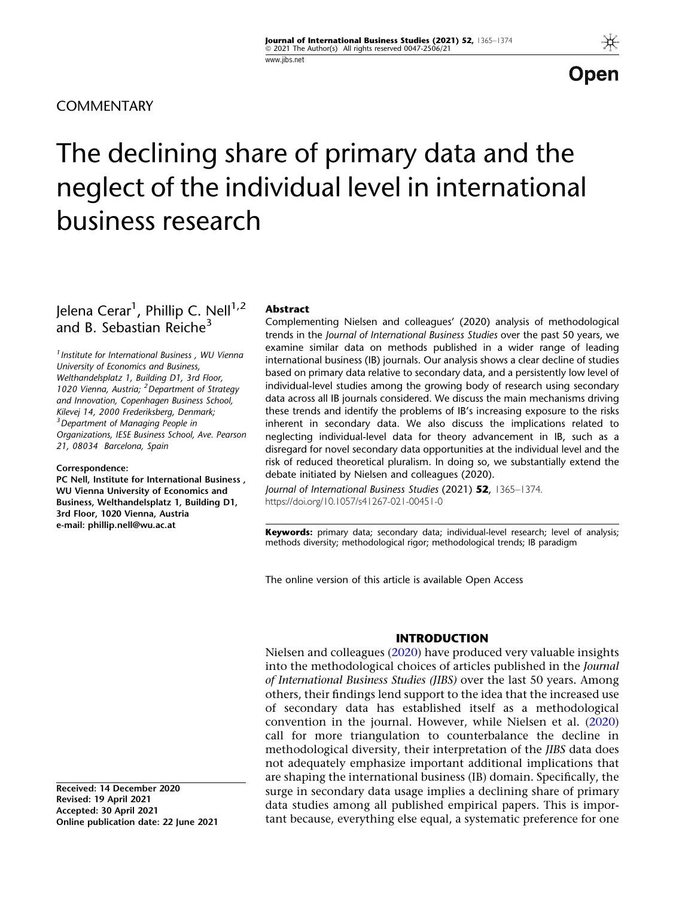**COMMENTARY** 

Open

# The declining share of primary data and the neglect of the individual level in international business research

Jelena Cerar<sup>1</sup>, Phillip C. Nell<sup>1,2</sup> and B. Sebastian Reiche<sup>3</sup>

<sup>1</sup> Institute for International Business, WU Vienna University of Economics and Business, Welthandelsplatz 1, Building D1, 3rd Floor, 1020 Vienna, Austria; <sup>2</sup> Department of Strategy and Innovation, Copenhagen Business School, Kilevej 14, 2000 Frederiksberg, Denmark; <sup>3</sup> Department of Managing People in Organizations, IESE Business School, Ave. Pearson 21, 08034 Barcelona, Spain

Correspondence: PC Nell, Institute for International Business , WU Vienna University of Economics and Business, Welthandelsplatz 1, Building D1, 3rd Floor, 1020 Vienna, Austria

e-mail: phillip.nell@wu.ac.at

# Abstract

Complementing Nielsen and colleagues' (2020) analysis of methodological trends in the Journal of International Business Studies over the past 50 years, we examine similar data on methods published in a wider range of leading international business (IB) journals. Our analysis shows a clear decline of studies based on primary data relative to secondary data, and a persistently low level of individual-level studies among the growing body of research using secondary data across all IB journals considered. We discuss the main mechanisms driving these trends and identify the problems of IB's increasing exposure to the risks inherent in secondary data. We also discuss the implications related to neglecting individual-level data for theory advancement in IB, such as a disregard for novel secondary data opportunities at the individual level and the risk of reduced theoretical pluralism. In doing so, we substantially extend the debate initiated by Nielsen and colleagues (2020).

Journal of International Business Studies (2021) 52, 1365-1374. https://doi.org/10.1057/s41267-021-00451-0

Keywords: primary data; secondary data; individual-level research; level of analysis; methods diversity; methodological rigor; methodological trends; IB paradigm

The online version of this article is available Open Access

## INTRODUCTION

Nielsen and colleagues [\(2020](#page-9-0)) have produced very valuable insights into the methodological choices of articles published in the Journal of International Business Studies (JIBS) over the last 50 years. Among others, their findings lend support to the idea that the increased use of secondary data has established itself as a methodological convention in the journal. However, while Nielsen et al. [\(2020](#page-9-0)) call for more triangulation to counterbalance the decline in methodological diversity, their interpretation of the JIBS data does not adequately emphasize important additional implications that are shaping the international business (IB) domain. Specifically, the surge in secondary data usage implies a declining share of primary data studies among all published empirical papers. This is important because, everything else equal, a systematic preference for one

Received: 14 December 2020 Revised: 19 April 2021 Accepted: 30 April 2021 Online publication date: 22 June 2021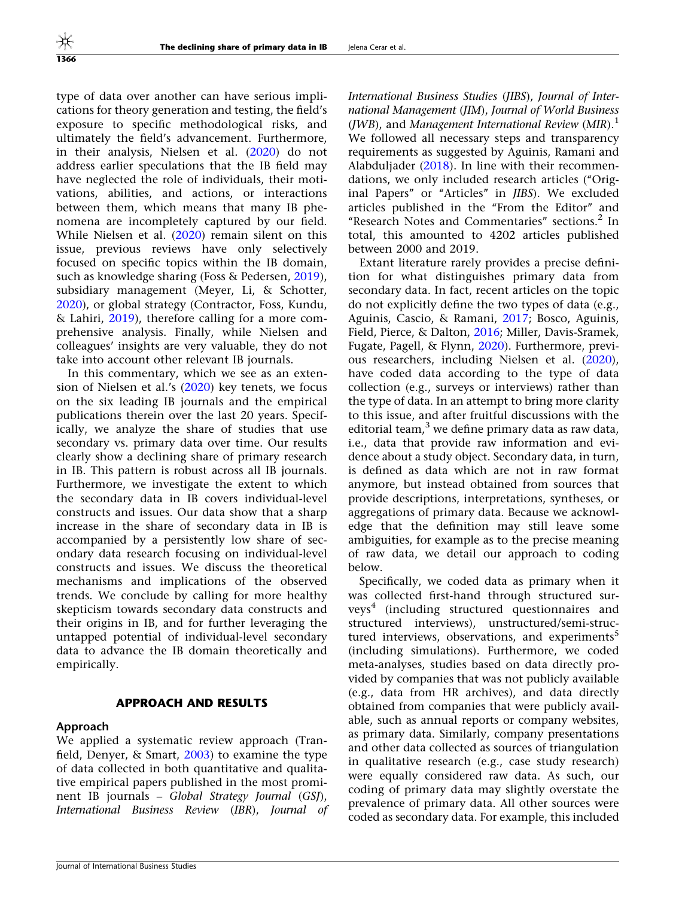type of data over another can have serious implications for theory generation and testing, the field's exposure to specific methodological risks, and ultimately the field's advancement. Furthermore, in their analysis, Nielsen et al. [\(2020](#page-9-0)) do not address earlier speculations that the IB field may have neglected the role of individuals, their motivations, abilities, and actions, or interactions between them, which means that many IB phenomena are incompletely captured by our field. While Nielsen et al. ([2020\)](#page-9-0) remain silent on this issue, previous reviews have only selectively focused on specific topics within the IB domain, such as knowledge sharing (Foss & Pedersen, [2019\)](#page-8-0), subsidiary management (Meyer, Li, & Schotter, [2020\)](#page-9-0), or global strategy (Contractor, Foss, Kundu, & Lahiri, [2019\)](#page-8-0), therefore calling for a more comprehensive analysis. Finally, while Nielsen and colleagues' insights are very valuable, they do not take into account other relevant IB journals.

In this commentary, which we see as an extension of Nielsen et al.'s ([2020](#page-9-0)) key tenets, we focus on the six leading IB journals and the empirical publications therein over the last 20 years. Specifically, we analyze the share of studies that use secondary vs. primary data over time. Our results clearly show a declining share of primary research in IB. This pattern is robust across all IB journals. Furthermore, we investigate the extent to which the secondary data in IB covers individual-level constructs and issues. Our data show that a sharp increase in the share of secondary data in IB is accompanied by a persistently low share of secondary data research focusing on individual-level constructs and issues. We discuss the theoretical mechanisms and implications of the observed trends. We conclude by calling for more healthy skepticism towards secondary data constructs and their origins in IB, and for further leveraging the untapped potential of individual-level secondary data to advance the IB domain theoretically and empirically.

#### APPROACH AND RESULTS

#### Approach

We applied a systematic review approach (Tranfield, Denyer,  $\&$  Smart, [2003](#page-9-0)) to examine the type of data collected in both quantitative and qualitative empirical papers published in the most prominent IB journals – Global Strategy Journal (GSJ), International Business Review (IBR), Journal of International Business Studies (JIBS), Journal of International Management (JIM), Journal of World Business (*JWB*), and *Management International Review* (*MIR*).<sup>1</sup> We followed all necessary steps and transparency requirements as suggested by Aguinis, Ramani and Alabduljader [\(2018](#page-8-0)). In line with their recommendations, we only included research articles ("Original Papers'' or ''Articles'' in JIBS). We excluded articles published in the ''From the Editor'' and "Research Notes and Commentaries" sections.<sup>2</sup> In total, this amounted to 4202 articles published between 2000 and 2019.

Extant literature rarely provides a precise definition for what distinguishes primary data from secondary data. In fact, recent articles on the topic do not explicitly define the two types of data (e.g., Aguinis, Cascio, & Ramani, [2017;](#page-8-0) Bosco, Aguinis, Field, Pierce, & Dalton, [2016;](#page-8-0) Miller, Davis-Sramek, Fugate, Pagell, & Flynn, [2020](#page-9-0)). Furthermore, previous researchers, including Nielsen et al. [\(2020](#page-9-0)), have coded data according to the type of data collection (e.g., surveys or interviews) rather than the type of data. In an attempt to bring more clarity to this issue, and after fruitful discussions with the editorial team, $3$  we define primary data as raw data, i.e., data that provide raw information and evidence about a study object. Secondary data, in turn, is defined as data which are not in raw format anymore, but instead obtained from sources that provide descriptions, interpretations, syntheses, or aggregations of primary data. Because we acknowledge that the definition may still leave some ambiguities, for example as to the precise meaning of raw data, we detail our approach to coding below.

Specifically, we coded data as primary when it was collected first-hand through structured surveys4 (including structured questionnaires and structured interviews), unstructured/semi-structured interviews, observations, and experiments<sup>5</sup> (including simulations). Furthermore, we coded meta-analyses, studies based on data directly provided by companies that was not publicly available (e.g., data from HR archives), and data directly obtained from companies that were publicly available, such as annual reports or company websites, as primary data. Similarly, company presentations and other data collected as sources of triangulation in qualitative research (e.g., case study research) were equally considered raw data. As such, our coding of primary data may slightly overstate the prevalence of primary data. All other sources were coded as secondary data. For example, this included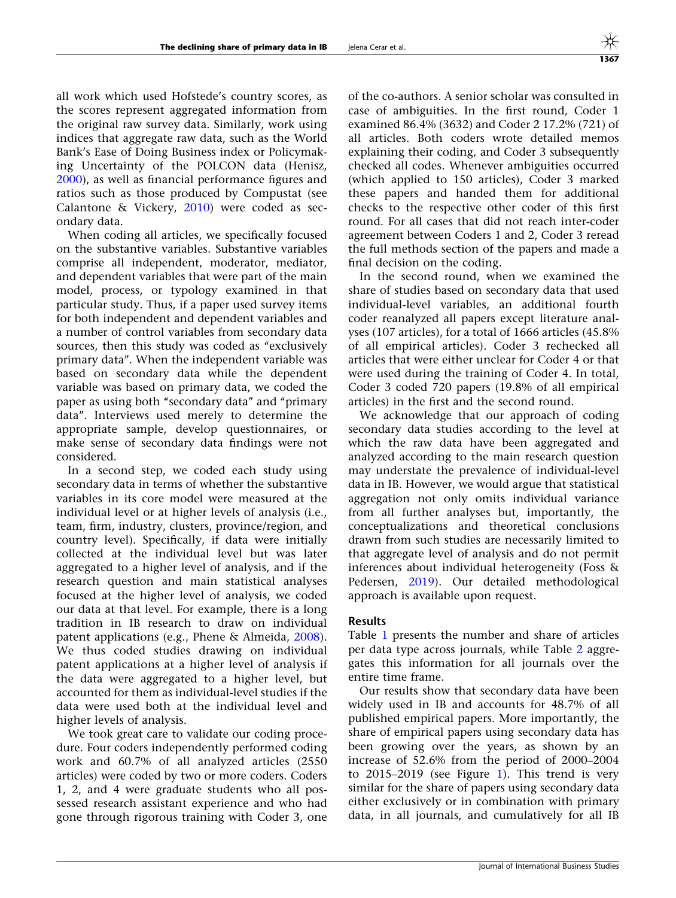all work which used Hofstede's country scores, as the scores represent aggregated information from the original raw survey data. Similarly, work using indices that aggregate raw data, such as the World Bank's Ease of Doing Business index or Policymaking Uncertainty of the POLCON data (Henisz, [2000\)](#page-8-0), as well as financial performance figures and ratios such as those produced by Compustat (see Calantone & Vickery, [2010\)](#page-8-0) were coded as secondary data.

When coding all articles, we specifically focused on the substantive variables. Substantive variables comprise all independent, moderator, mediator, and dependent variables that were part of the main model, process, or typology examined in that particular study. Thus, if a paper used survey items for both independent and dependent variables and a number of control variables from secondary data sources, then this study was coded as "exclusively primary data''. When the independent variable was based on secondary data while the dependent variable was based on primary data, we coded the paper as using both ''secondary data'' and ''primary data''. Interviews used merely to determine the appropriate sample, develop questionnaires, or make sense of secondary data findings were not considered.

In a second step, we coded each study using secondary data in terms of whether the substantive variables in its core model were measured at the individual level or at higher levels of analysis (i.e., team, firm, industry, clusters, province/region, and country level). Specifically, if data were initially collected at the individual level but was later aggregated to a higher level of analysis, and if the research question and main statistical analyses focused at the higher level of analysis, we coded our data at that level. For example, there is a long tradition in IB research to draw on individual patent applications (e.g., Phene & Almeida, [2008\)](#page-9-0). We thus coded studies drawing on individual patent applications at a higher level of analysis if the data were aggregated to a higher level, but accounted for them as individual-level studies if the data were used both at the individual level and higher levels of analysis.

We took great care to validate our coding procedure. Four coders independently performed coding work and 60.7% of all analyzed articles (2550 articles) were coded by two or more coders. Coders 1, 2, and 4 were graduate students who all possessed research assistant experience and who had gone through rigorous training with Coder 3, one

of the co-authors. A senior scholar was consulted in case of ambiguities. In the first round, Coder 1 examined 86.4% (3632) and Coder 2 17.2% (721) of all articles. Both coders wrote detailed memos explaining their coding, and Coder 3 subsequently checked all codes. Whenever ambiguities occurred (which applied to 150 articles), Coder 3 marked these papers and handed them for additional checks to the respective other coder of this first round. For all cases that did not reach inter-coder agreement between Coders 1 and 2, Coder 3 reread the full methods section of the papers and made a final decision on the coding.

In the second round, when we examined the share of studies based on secondary data that used individual-level variables, an additional fourth coder reanalyzed all papers except literature analyses (107 articles), for a total of 1666 articles (45.8% of all empirical articles). Coder 3 rechecked all articles that were either unclear for Coder 4 or that were used during the training of Coder 4. In total, Coder 3 coded 720 papers (19.8% of all empirical articles) in the first and the second round.

We acknowledge that our approach of coding secondary data studies according to the level at which the raw data have been aggregated and analyzed according to the main research question may understate the prevalence of individual-level data in IB. However, we would argue that statistical aggregation not only omits individual variance from all further analyses but, importantly, the conceptualizations and theoretical conclusions drawn from such studies are necessarily limited to that aggregate level of analysis and do not permit inferences about individual heterogeneity (Foss & Pedersen, [2019](#page-8-0)). Our detailed methodological approach is available upon request.

### Results

Table [1](#page-3-0) presents the number and share of articles per data type across journals, while Table [2](#page-4-0) aggregates this information for all journals over the entire time frame.

Our results show that secondary data have been widely used in IB and accounts for 48.7% of all published empirical papers. More importantly, the share of empirical papers using secondary data has been growing over the years, as shown by an increase of 52.6% from the period of 2000–2004 to 2015–2019 (see Figure [1](#page-5-0)). This trend is very similar for the share of papers using secondary data either exclusively or in combination with primary data, in all journals, and cumulatively for all IB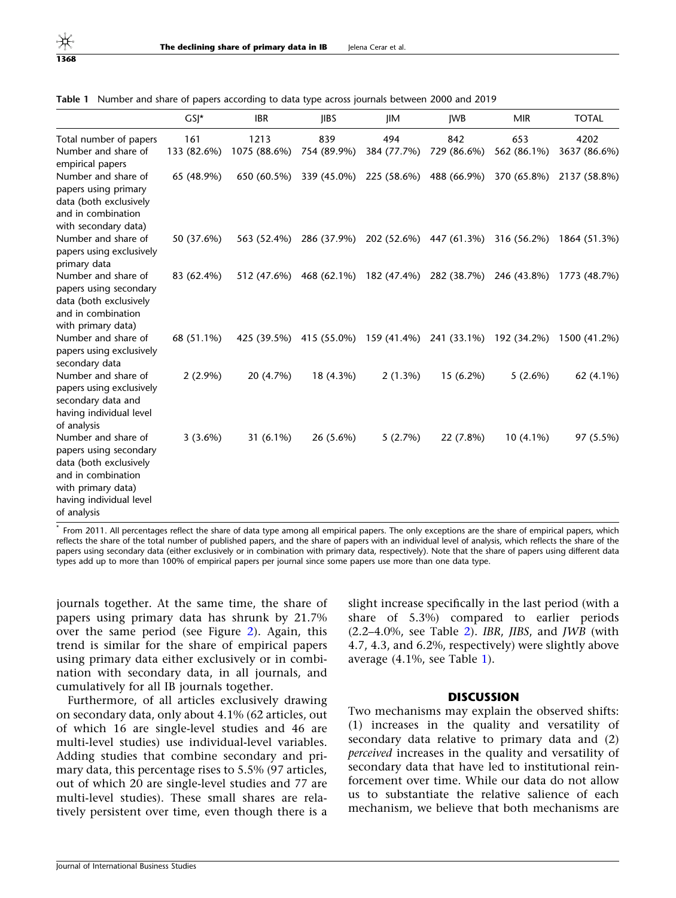|                                                                                                                                                               | $GS$ <sup>*</sup> | <b>IBR</b>   | <b>IIBS</b>                                                 | $\mathsf{I} \mathsf{I} \mathsf{M}$  | <b>IWB</b>  | <b>MIR</b>  | <b>TOTAL</b>                                                             |
|---------------------------------------------------------------------------------------------------------------------------------------------------------------|-------------------|--------------|-------------------------------------------------------------|-------------------------------------|-------------|-------------|--------------------------------------------------------------------------|
| Total number of papers                                                                                                                                        | 161               | 1213         | 839                                                         | 494                                 | 842         | 653         | 4202                                                                     |
| Number and share of<br>empirical papers                                                                                                                       | 133 (82.6%)       | 1075 (88.6%) | 754 (89.9%)                                                 | 384 (77.7%)                         | 729 (86.6%) | 562 (86.1%) | 3637 (86.6%)                                                             |
| Number and share of<br>papers using primary<br>data (both exclusively<br>and in combination<br>with secondary data)                                           | 65 (48.9%)        |              | 650 (60.5%) 339 (45.0%) 225 (58.6%) 488 (66.9%)             |                                     |             | 370 (65.8%) | 2137 (58.8%)                                                             |
| Number and share of<br>papers using exclusively<br>primary data                                                                                               | 50 (37.6%)        | 563 (52.4%)  |                                                             | 286 (37.9%) 202 (52.6%) 447 (61.3%) |             | 316 (56.2%) | 1864 (51.3%)                                                             |
| Number and share of<br>papers using secondary<br>data (both exclusively<br>and in combination<br>with primary data)                                           | 83 (62.4%)        |              |                                                             |                                     |             |             | 512 (47.6%) 468 (62.1%) 182 (47.4%) 282 (38.7%) 246 (43.8%) 1773 (48.7%) |
| Number and share of<br>papers using exclusively<br>secondary data                                                                                             | 68 (51.1%)        |              | 425 (39.5%) 415 (55.0%) 159 (41.4%) 241 (33.1%) 192 (34.2%) |                                     |             |             | 1500 (41.2%)                                                             |
| Number and share of<br>papers using exclusively<br>secondary data and<br>having individual level<br>of analysis                                               | $2(2.9\%)$        | 20 (4.7%)    | 18 (4.3%)                                                   | 2(1.3%)                             | 15 (6.2%)   | 5(2.6%)     | 62 (4.1%)                                                                |
| Number and share of<br>papers using secondary<br>data (both exclusively<br>and in combination<br>with primary data)<br>having individual level<br>of analysis | 3(3.6%)           | 31 $(6.1\%)$ | 26 (5.6%)                                                   | 5(2.7%)                             | 22 (7.8%)   | $10(4.1\%)$ | 97 (5.5%)                                                                |

<span id="page-3-0"></span>Table 1 Number and share of papers according to data type across journals between 2000 and 2019

From 2011. All percentages reflect the share of data type among all empirical papers. The only exceptions are the share of empirical papers, which reflects the share of the total number of published papers, and the share of papers with an individual level of analysis, which reflects the share of the papers using secondary data (either exclusively or in combination with primary data, respectively). Note that the share of papers using different data types add up to more than 100% of empirical papers per journal since some papers use more than one data type.

journals together. At the same time, the share of papers using primary data has shrunk by 21.7% over the same period (see Figure [2\)](#page-5-0). Again, this trend is similar for the share of empirical papers using primary data either exclusively or in combination with secondary data, in all journals, and cumulatively for all IB journals together.

Furthermore, of all articles exclusively drawing on secondary data, only about 4.1% (62 articles, out of which 16 are single-level studies and 46 are multi-level studies) use individual-level variables. Adding studies that combine secondary and primary data, this percentage rises to 5.5% (97 articles, out of which 20 are single-level studies and 77 are multi-level studies). These small shares are relatively persistent over time, even though there is a

slight increase specifically in the last period (with a share of 5.3%) compared to earlier periods  $(2.2-4.0\%$ , see Table [2\)](#page-4-0). IBR, JIBS, and JWB (with 4.7, 4.3, and 6.2%, respectively) were slightly above average (4.1%, see Table 1).

#### **DISCUSSION**

Two mechanisms may explain the observed shifts: (1) increases in the quality and versatility of secondary data relative to primary data and (2) perceived increases in the quality and versatility of secondary data that have led to institutional reinforcement over time. While our data do not allow us to substantiate the relative salience of each mechanism, we believe that both mechanisms are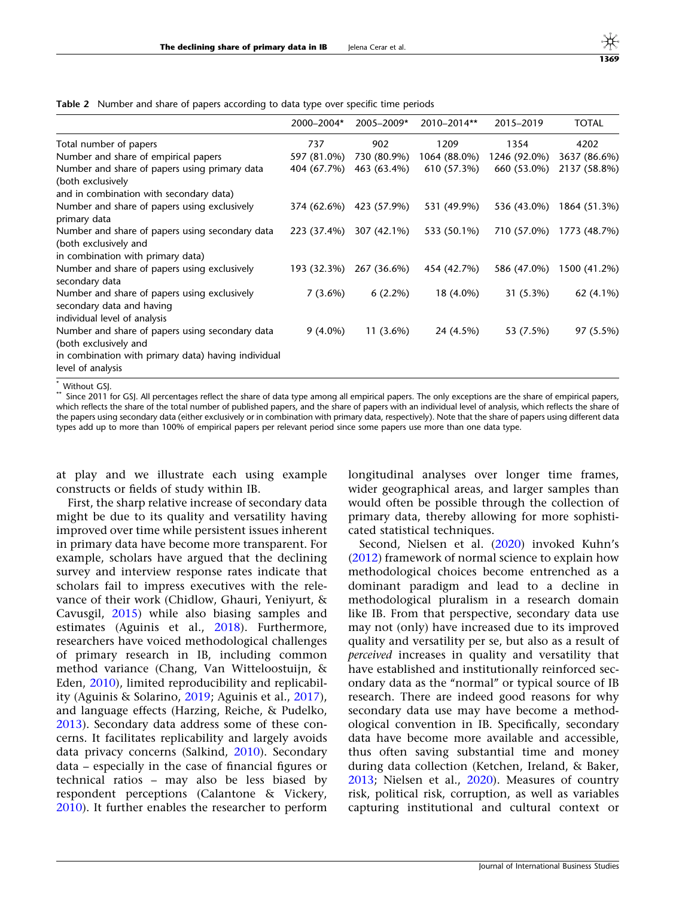<span id="page-4-0"></span>Table 2 Number and share of papers according to data type over specific time periods

|                                                                                                                                                      | 2000-2004*  | 2005-2009*              | 2010-2014**  | 2015-2019    | <b>TOTAL</b>             |
|------------------------------------------------------------------------------------------------------------------------------------------------------|-------------|-------------------------|--------------|--------------|--------------------------|
| Total number of papers                                                                                                                               | 737         | 902                     | 1209         | 1354         | 4202                     |
| Number and share of empirical papers                                                                                                                 | 597 (81.0%) | 730 (80.9%)             | 1064 (88.0%) | 1246 (92.0%) | 3637 (86.6%)             |
| Number and share of papers using primary data<br>(both exclusively                                                                                   | 404 (67.7%) | 463 (63.4%)             | 610 (57.3%)  | 660 (53.0%)  | 2137 (58.8%)             |
| and in combination with secondary data)                                                                                                              |             |                         |              |              |                          |
| Number and share of papers using exclusively<br>primary data                                                                                         |             | 374 (62.6%) 423 (57.9%) | 531 (49.9%)  | 536 (43.0%)  | 1864 (51.3%)             |
| Number and share of papers using secondary data<br>(both exclusively and                                                                             | 223 (37.4%) | 307 (42.1%)             | 533 (50.1%)  |              | 710 (57.0%) 1773 (48.7%) |
| in combination with primary data)                                                                                                                    |             |                         |              |              |                          |
| Number and share of papers using exclusively<br>secondary data                                                                                       | 193 (32.3%) | 267 (36.6%)             | 454 (42.7%)  | 586 (47.0%)  | 1500 (41.2%)             |
| Number and share of papers using exclusively<br>secondary data and having<br>individual level of analysis                                            | $7(3.6\%)$  | $6(2.2\%)$              | 18 (4.0%)    | $31(5.3\%)$  | 62 (4.1%)                |
| Number and share of papers using secondary data<br>(both exclusively and<br>in combination with primary data) having individual<br>level of analysis | $9(4.0\%)$  | $11(3.6\%)$             | 24 (4.5%)    | 53 (7.5%)    | 97 (5.5%)                |

\* Without GSJ.<br>\*\* Since 2011 for GSJ. All percentages reflect the share of data type among all empirical papers. The only exceptions are the share of empirical papers, which reflects the share of the total number of published papers, and the share of papers with an individual level of analysis, which reflects the share of the papers using secondary data (either exclusively or in combination with primary data, respectively). Note that the share of papers using different data types add up to more than 100% of empirical papers per relevant period since some papers use more than one data type.

at play and we illustrate each using example constructs or fields of study within IB.

First, the sharp relative increase of secondary data might be due to its quality and versatility having improved over time while persistent issues inherent in primary data have become more transparent. For example, scholars have argued that the declining survey and interview response rates indicate that scholars fail to impress executives with the relevance of their work (Chidlow, Ghauri, Yeniyurt, & Cavusgil, [2015\)](#page-8-0) while also biasing samples and estimates (Aguinis et al., [2018\)](#page-8-0). Furthermore, researchers have voiced methodological challenges of primary research in IB, including common method variance (Chang, Van Witteloostuijn, & Eden, [2010\)](#page-8-0), limited reproducibility and replicability (Aguinis & Solarino, [2019;](#page-8-0) Aguinis et al., [2017\)](#page-8-0), and language effects (Harzing, Reiche, & Pudelko, [2013\)](#page-8-0). Secondary data address some of these concerns. It facilitates replicability and largely avoids data privacy concerns (Salkind, [2010](#page-9-0)). Secondary data – especially in the case of financial figures or technical ratios – may also be less biased by respondent perceptions (Calantone & Vickery, [2010\)](#page-8-0). It further enables the researcher to perform longitudinal analyses over longer time frames, wider geographical areas, and larger samples than would often be possible through the collection of primary data, thereby allowing for more sophisticated statistical techniques.

Second, Nielsen et al. [\(2020](#page-9-0)) invoked Kuhn's [\(2012](#page-9-0)) framework of normal science to explain how methodological choices become entrenched as a dominant paradigm and lead to a decline in methodological pluralism in a research domain like IB. From that perspective, secondary data use may not (only) have increased due to its improved quality and versatility per se, but also as a result of perceived increases in quality and versatility that have established and institutionally reinforced secondary data as the ''normal'' or typical source of IB research. There are indeed good reasons for why secondary data use may have become a methodological convention in IB. Specifically, secondary data have become more available and accessible, thus often saving substantial time and money during data collection (Ketchen, Ireland, & Baker, [2013;](#page-8-0) Nielsen et al., [2020](#page-9-0)). Measures of country risk, political risk, corruption, as well as variables capturing institutional and cultural context or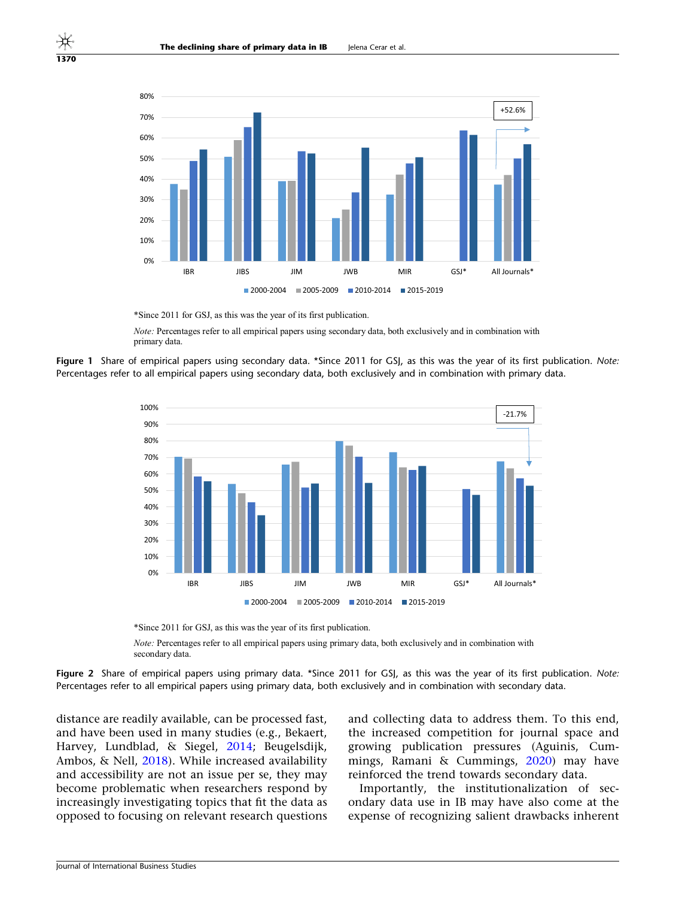

\*Since 2011 for GSJ, as this was the year of its first publication.

*Note:* Percentages refer to all empirical papers using secondary data, both exclusively and in combination with primary data.





\*Since 2011 for GSJ, as this was the year of its first publication.

*Note:* Percentages refer to all empirical papers using primary data, both exclusively and in combination with secondary data.

Figure 2 Share of empirical papers using primary data. \*Since 2011 for GSJ, as this was the year of its first publication. Note: Percentages refer to all empirical papers using primary data, both exclusively and in combination with secondary data.

distance are readily available, can be processed fast, and have been used in many studies (e.g., Bekaert, Harvey, Lundblad, & Siegel, [2014;](#page-8-0) Beugelsdijk, Ambos, & Nell, [2018](#page-8-0)). While increased availability and accessibility are not an issue per se, they may become problematic when researchers respond by increasingly investigating topics that fit the data as opposed to focusing on relevant research questions and collecting data to address them. To this end, the increased competition for journal space and growing publication pressures (Aguinis, Cummings, Ramani & Cummings, [2020](#page-8-0)) may have reinforced the trend towards secondary data.

Importantly, the institutionalization of secondary data use in IB may have also come at the expense of recognizing salient drawbacks inherent

<span id="page-5-0"></span>1370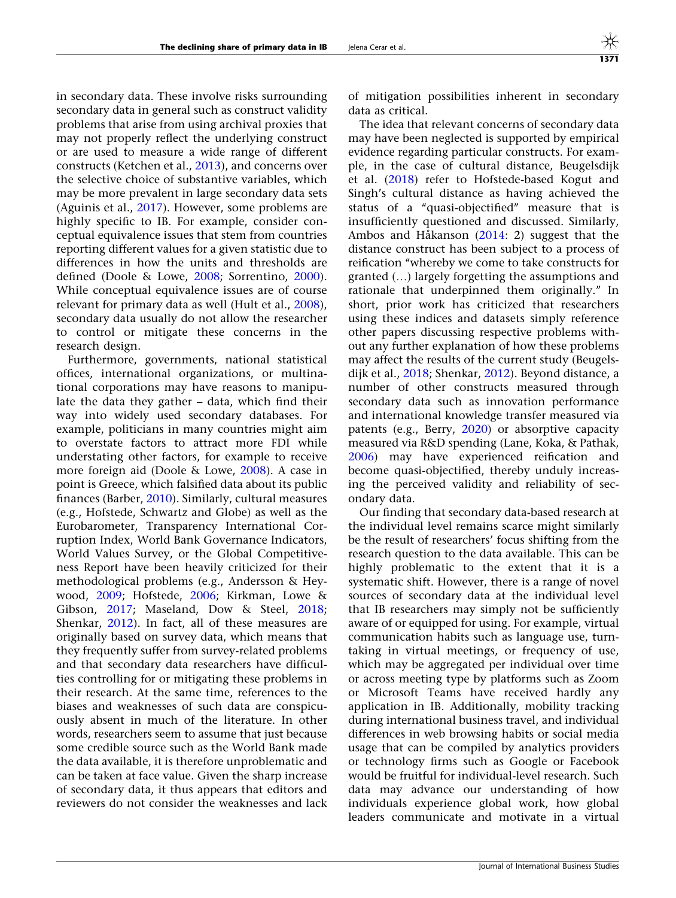in secondary data. These involve risks surrounding secondary data in general such as construct validity problems that arise from using archival proxies that may not properly reflect the underlying construct or are used to measure a wide range of different constructs (Ketchen et al., [2013\)](#page-8-0), and concerns over the selective choice of substantive variables, which may be more prevalent in large secondary data sets (Aguinis et al., [2017\)](#page-8-0). However, some problems are highly specific to IB. For example, consider conceptual equivalence issues that stem from countries reporting different values for a given statistic due to differences in how the units and thresholds are defined (Doole & Lowe, [2008;](#page-8-0) Sorrentino, [2000\)](#page-9-0). While conceptual equivalence issues are of course relevant for primary data as well (Hult et al., [2008\)](#page-8-0), secondary data usually do not allow the researcher to control or mitigate these concerns in the research design.

Furthermore, governments, national statistical offices, international organizations, or multinational corporations may have reasons to manipulate the data they gather – data, which find their way into widely used secondary databases. For example, politicians in many countries might aim to overstate factors to attract more FDI while understating other factors, for example to receive more foreign aid (Doole & Lowe, [2008\)](#page-8-0). A case in point is Greece, which falsified data about its public finances (Barber, [2010\)](#page-8-0). Similarly, cultural measures (e.g., Hofstede, Schwartz and Globe) as well as the Eurobarometer, Transparency International Corruption Index, World Bank Governance Indicators, World Values Survey, or the Global Competitiveness Report have been heavily criticized for their methodological problems (e.g., Andersson & Heywood, [2009;](#page-8-0) Hofstede, [2006](#page-8-0); Kirkman, Lowe & Gibson, [2017;](#page-9-0) Maseland, Dow & Steel, [2018;](#page-9-0) Shenkar, [2012\)](#page-9-0). In fact, all of these measures are originally based on survey data, which means that they frequently suffer from survey-related problems and that secondary data researchers have difficulties controlling for or mitigating these problems in their research. At the same time, references to the biases and weaknesses of such data are conspicuously absent in much of the literature. In other words, researchers seem to assume that just because some credible source such as the World Bank made the data available, it is therefore unproblematic and can be taken at face value. Given the sharp increase of secondary data, it thus appears that editors and reviewers do not consider the weaknesses and lack

of mitigation possibilities inherent in secondary data as critical.

The idea that relevant concerns of secondary data may have been neglected is supported by empirical evidence regarding particular constructs. For example, in the case of cultural distance, Beugelsdijk et al. [\(2018](#page-8-0)) refer to Hofstede-based Kogut and Singh's cultural distance as having achieved the status of a ''quasi-objectified'' measure that is insufficiently questioned and discussed. Similarly, Ambos and Håkanson  $(2014: 2)$  $(2014: 2)$  suggest that the distance construct has been subject to a process of reification ''whereby we come to take constructs for granted (…) largely forgetting the assumptions and rationale that underpinned them originally.'' In short, prior work has criticized that researchers using these indices and datasets simply reference other papers discussing respective problems without any further explanation of how these problems may affect the results of the current study (Beugelsdijk et al., [2018](#page-8-0); Shenkar, [2012\)](#page-9-0). Beyond distance, a number of other constructs measured through secondary data such as innovation performance and international knowledge transfer measured via patents (e.g., Berry, [2020\)](#page-8-0) or absorptive capacity measured via R&D spending (Lane, Koka, & Pathak, [2006\)](#page-9-0) may have experienced reification and become quasi-objectified, thereby unduly increasing the perceived validity and reliability of secondary data.

Our finding that secondary data-based research at the individual level remains scarce might similarly be the result of researchers' focus shifting from the research question to the data available. This can be highly problematic to the extent that it is a systematic shift. However, there is a range of novel sources of secondary data at the individual level that IB researchers may simply not be sufficiently aware of or equipped for using. For example, virtual communication habits such as language use, turntaking in virtual meetings, or frequency of use, which may be aggregated per individual over time or across meeting type by platforms such as Zoom or Microsoft Teams have received hardly any application in IB. Additionally, mobility tracking during international business travel, and individual differences in web browsing habits or social media usage that can be compiled by analytics providers or technology firms such as Google or Facebook would be fruitful for individual-level research. Such data may advance our understanding of how individuals experience global work, how global leaders communicate and motivate in a virtual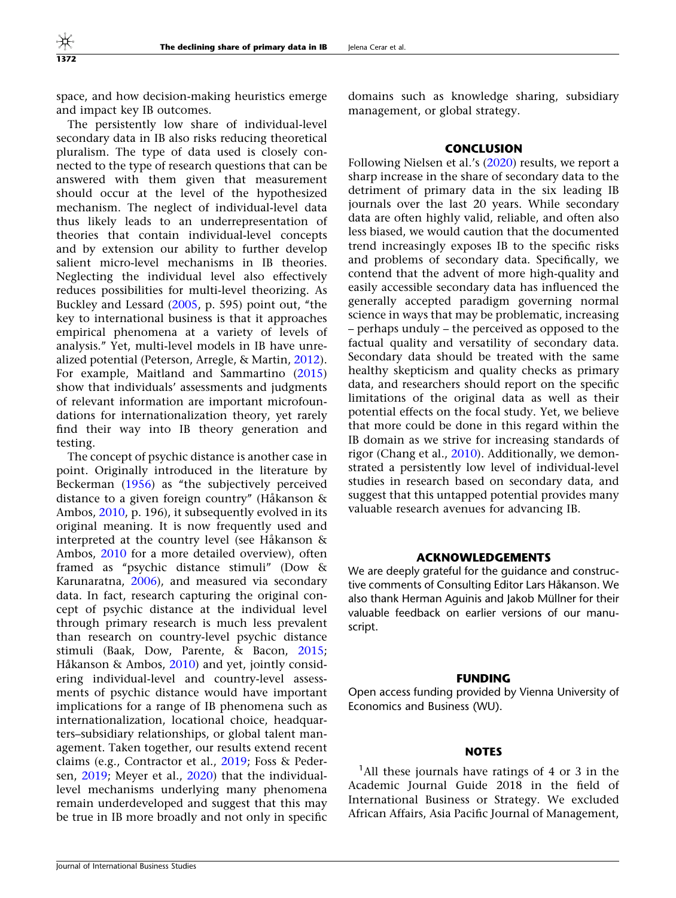space, and how decision-making heuristics emerge and impact key IB outcomes.

The persistently low share of individual-level secondary data in IB also risks reducing theoretical pluralism. The type of data used is closely connected to the type of research questions that can be answered with them given that measurement should occur at the level of the hypothesized mechanism. The neglect of individual-level data thus likely leads to an underrepresentation of theories that contain individual-level concepts and by extension our ability to further develop salient micro-level mechanisms in IB theories. Neglecting the individual level also effectively reduces possibilities for multi-level theorizing. As Buckley and Lessard [\(2005](#page-8-0), p. 595) point out, ''the key to international business is that it approaches empirical phenomena at a variety of levels of analysis.'' Yet, multi-level models in IB have unrealized potential (Peterson, Arregle, & Martin, [2012\)](#page-9-0). For example, Maitland and Sammartino ([2015\)](#page-9-0) show that individuals' assessments and judgments of relevant information are important microfoundations for internationalization theory, yet rarely find their way into IB theory generation and testing.

The concept of psychic distance is another case in point. Originally introduced in the literature by Beckerman [\(1956](#page-8-0)) as "the subjectively perceived distance to a given foreign country" (Håkanson  $\&$ Ambos, [2010](#page-8-0), p. 196), it subsequently evolved in its original meaning. It is now frequently used and interpreted at the country level (see Håkanson  $\&$ Ambos, [2010](#page-8-0) for a more detailed overview), often framed as ''psychic distance stimuli'' (Dow & Karunaratna, [2006](#page-8-0)), and measured via secondary data. In fact, research capturing the original concept of psychic distance at the individual level through primary research is much less prevalent than research on country-level psychic distance stimuli (Baak, Dow, Parente, & Bacon, [2015;](#page-8-0) Håkanson & Ambos,  $2010$ ) and yet, jointly considering individual-level and country-level assessments of psychic distance would have important implications for a range of IB phenomena such as internationalization, locational choice, headquarters–subsidiary relationships, or global talent management. Taken together, our results extend recent claims (e.g., Contractor et al., [2019;](#page-8-0) Foss & Pedersen, [2019;](#page-8-0) Meyer et al., [2020\)](#page-9-0) that the individuallevel mechanisms underlying many phenomena remain underdeveloped and suggest that this may be true in IB more broadly and not only in specific

domains such as knowledge sharing, subsidiary management, or global strategy.

## CONCLUSION

Following Nielsen et al.'s [\(2020\)](#page-9-0) results, we report a sharp increase in the share of secondary data to the detriment of primary data in the six leading IB journals over the last 20 years. While secondary data are often highly valid, reliable, and often also less biased, we would caution that the documented trend increasingly exposes IB to the specific risks and problems of secondary data. Specifically, we contend that the advent of more high-quality and easily accessible secondary data has influenced the generally accepted paradigm governing normal science in ways that may be problematic, increasing – perhaps unduly – the perceived as opposed to the factual quality and versatility of secondary data. Secondary data should be treated with the same healthy skepticism and quality checks as primary data, and researchers should report on the specific limitations of the original data as well as their potential effects on the focal study. Yet, we believe that more could be done in this regard within the IB domain as we strive for increasing standards of rigor (Chang et al., [2010](#page-8-0)). Additionally, we demonstrated a persistently low level of individual-level studies in research based on secondary data, and suggest that this untapped potential provides many valuable research avenues for advancing IB.

## ACKNOWLEDGEMENTS

We are deeply grateful for the guidance and constructive comments of Consulting Editor Lars Håkanson. We also thank Herman Aguinis and Jakob Müllner for their valuable feedback on earlier versions of our manuscript.

#### **FUNDING**

Open access funding provided by Vienna University of Economics and Business (WU).

#### **NOTES**

<sup>1</sup>All these journals have ratings of 4 or 3 in the Academic Journal Guide 2018 in the field of International Business or Strategy. We excluded African Affairs, Asia Pacific Journal of Management,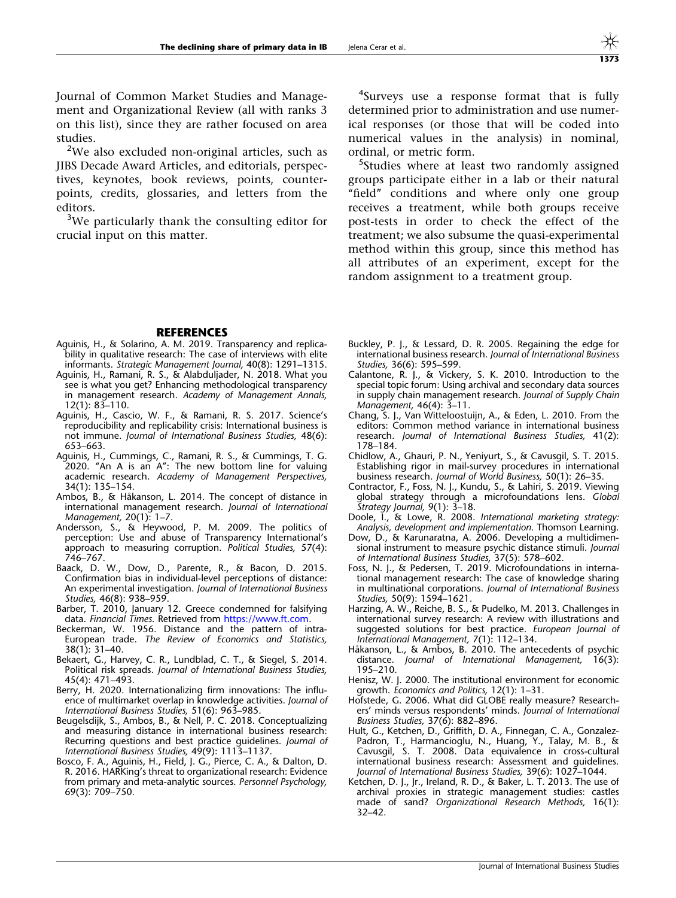<span id="page-8-0"></span>Journal of Common Market Studies and Management and Organizational Review (all with ranks 3 on this list), since they are rather focused on area studies.

<sup>2</sup>We also excluded non-original articles, such as JIBS Decade Award Articles, and editorials, perspectives, keynotes, book reviews, points, counterpoints, credits, glossaries, and letters from the editors.

<sup>3</sup>We particularly thank the consulting editor for crucial input on this matter.

<sup>4</sup>Surveys use a response format that is fully determined prior to administration and use numerical responses (or those that will be coded into numerical values in the analysis) in nominal, ordinal, or metric form.

<sup>5</sup>Studies where at least two randomly assigned groups participate either in a lab or their natural "field" conditions and where only one group receives a treatment, while both groups receive post-tests in order to check the effect of the treatment; we also subsume the quasi-experimental method within this group, since this method has all attributes of an experiment, except for the random assignment to a treatment group.

## **REFERENCES**

- Aguinis, H., & Solarino, A. M. 2019. Transparency and replicability in qualitative research: The case of interviews with elite informants. Strategic Management Journal, 40(8): 1291–1315.
- Aguinis, H., Ramani, R. S., & Alabduljader, N. 2018. What you see is what you get? Enhancing methodological transparency in management research. Academy of Management Annals, 12(1): 83–110.
- Aguinis, H., Cascio, W. F., & Ramani, R. S. 2017. Science's reproducibility and replicability crisis: International business is not immune. Journal of International Business Studies, 48(6): 653–663.
- Aguinis, H., Cummings, C., Ramani, R. S., & Cummings, T. G. 2020. ''An A is an A'': The new bottom line for valuing academic research. Academy of Management Perspectives, 34(1): 135–154.
- Ambos, B., & Håkanson, L. 2014. The concept of distance in international management research. Journal of International Management, 20(1): 1–7.
- Andersson, S., & Heywood, P. M. 2009. The politics of perception: Use and abuse of Transparency International's approach to measuring corruption. Political Studies, 57(4): 746–767.
- Baack, D. W., Dow, D., Parente, R., & Bacon, D. 2015. Confirmation bias in individual-level perceptions of distance: An experimental investigation. Journal of International Business Studies, 46(8): 938–959.
- Barber, T. 2010, January 12. Greece condemned for falsifying data. Financial Times. Retrieved from <https://www.ft.com>.
- Beckerman, W. 1956. Distance and the pattern of intra-European trade. The Review of Economics and Statistics, 38(1): 31–40.
- Bekaert, G., Harvey, C. R., Lundblad, C. T., & Siegel, S. 2014. Political risk spreads. Journal of International Business Studies, 45(4): 471–493.
- Berry, H. 2020. Internationalizing firm innovations: The influence of multimarket overlap in knowledge activities. Journal of International Business Studies, 51(6): 963–985.
- Beugelsdijk, S., Ambos, B., & Nell, P. C. 2018. Conceptualizing and measuring distance in international business research: Recurring questions and best practice guidelines. Journal of International Business Studies, 49(9): 1113–1137.
- Bosco, F. A., Aguinis, H., Field, J. G., Pierce, C. A., & Dalton, D. R. 2016. HARKing's threat to organizational research: Evidence from primary and meta-analytic sources. Personnel Psychology, 69(3): 709–750.
- Buckley, P. J., & Lessard, D. R. 2005. Regaining the edge for international business research. Journal of International Business Studies, 36(6): 595–599.
- Calantone, R. J., & Vickery, S. K. 2010. Introduction to the special topic forum: Using archival and secondary data sources in supply chain management research. Journal of Supply Chain Management, 46(4): 3–11.
- Chang, S. J., Van Witteloostuijn, A., & Eden, L. 2010. From the editors: Common method variance in international business research. Journal of International Business Studies, 41(2): 178–184.
- Chidlow, A., Ghauri, P. N., Yeniyurt, S., & Cavusgil, S. T. 2015. Establishing rigor in mail-survey procedures in international business research. Journal of World Business, 50(1): 26–35.
- Contractor, F., Foss, N. J., Kundu, S., & Lahiri, S. 2019. Viewing global strategy through a microfoundations lens. Globa Strategy Journal, 9(1): 3–18.
- Doole, I., & Lowe, R. 2008. International marketing strategy: Analysis, development and implementation. Thomson Learning.
- Dow, D., & Karunaratna, A. 2006. Developing a multidimensional instrument to measure psychic distance stimuli. Journal of International Business Studies, 37(5): 578–602.
- Foss, N. J., & Pedersen, T. 2019. Microfoundations in international management research: The case of knowledge sharing in multinational corporations. Journal of International Business Studies, 50(9): 1594–1621.
- Harzing, A. W., Reiche, B. S., & Pudelko, M. 2013. Challenges in international survey research: A review with illustrations and suggested solutions for best practice. European Journal of International Management, 7(1): 112–134.
- Håkanson, L., & Ambos, B. 2010. The antecedents of psychic distance. Journal of International Management. 16(3): Journal of International Management, 16(3): 195–210.
- Henisz, W. J. 2000. The institutional environment for economic growth. Economics and Politics, 12(1): 1–31.
- Hofstede, G. 2006. What did GLOBE really measure? Researchers' minds versus respondents' minds. Journal of International Business Studies, 37(6): 882–896.
- Hult, G., Ketchen, D., Griffith, D. A., Finnegan, C. A., Gonzalez-Padron, T., Harmancioglu, N., Huang, Y., Talay, M. B., & Cavusgil, S. T. 2008. Data equivalence in cross-cultural international business research: Assessment and guidelines. Journal of International Business Studies, 39(6): 1027–1044.
- Ketchen, D. J., Jr., Ireland, R. D., & Baker, L. T. 2013. The use of archival proxies in strategic management studies: castles made of sand? Organizational Research Methods, 16(1): 32–42.